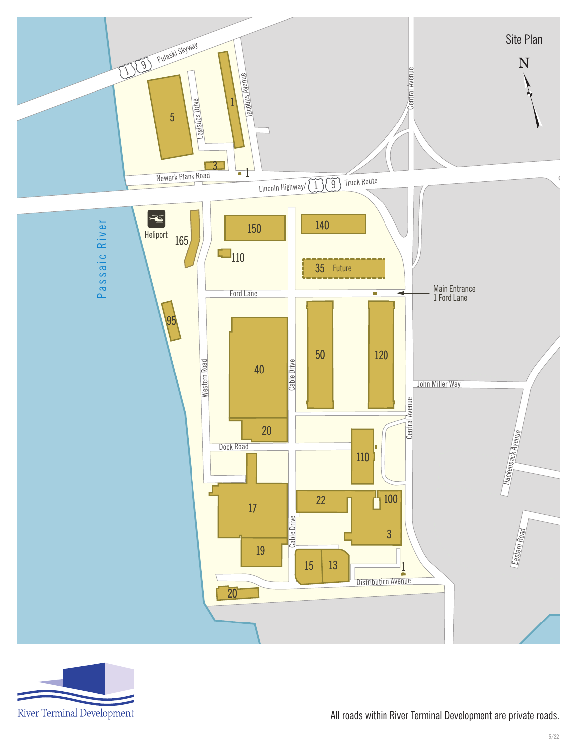